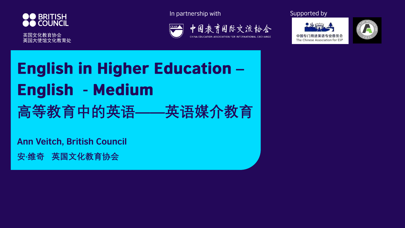

英国文化教育协会 英国大使馆文化教育处 In partnership with Supported by







# **English in Higher Education -English - Medium 高等教育中的英语——英语媒介教育**

**Ann Veitch, British Council**

**安·维奇 英国文化教育协会**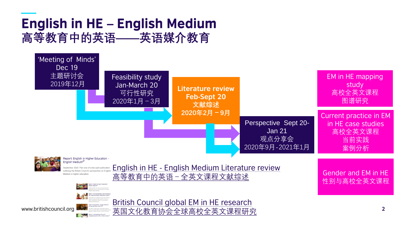### **English in HE - English Medium 高等教育中的英语——英语媒介教育**

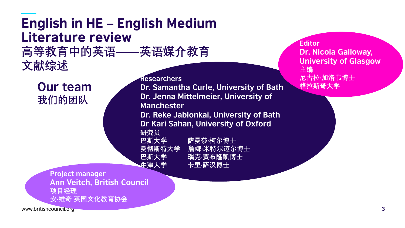## **English in HE - English Medium** Literature review

**高等教育中的英语——英语媒介教育 文献综述**

**Our team 我们的团队**

**Researchers Dr. Samantha Curle, University of Bath Dr. Jenna Mittelmeier, University of Manchester Dr. Reke Jablonkai, University of Bath Dr Kari Sahan, University of Oxford 研究员 巴斯大学 萨曼莎·柯尔博士 曼彻斯特大学 詹娜·米特尔迈尔博士 巴斯大学 瑞克·贾布隆凯博士 牛津大学 卡里·萨汉博士**

**Editor Dr. Nicola Galloway, University of Glasgow 主编 尼古拉·加洛韦博士 格拉斯哥大学**

**Project manager Ann Veitch, British Council 项目经理 安·维奇 英国文化教育协会**

www.britishcouncil.org **3**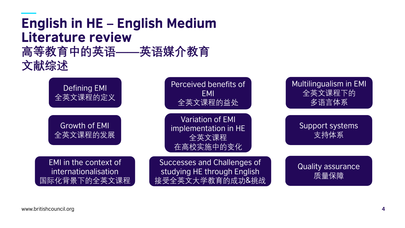Defining EMI 全英文课程的定义 Growth of EMI 全英文课程的发展

Perceived benefits of EMI 全英文课程的益处

Variation of EMI implementation in HE 全英文课程 在高校实施中的变化

EMI in the context of internationalisation 国际化背景下的全英文课程

Successes and Challenges of studying HE through English 接受全英文大学教育的成功&挑战



Support systems 支持体系

Quality assurance 质量保障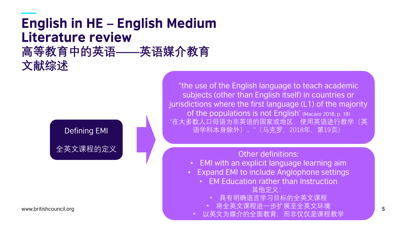# **English in HE - English Medium** Literature review

**高等教育中的英语——英语媒介教育 文献综述**



"the use of the English language to teach academic subjects (other than English itself) in countries or jurisdictions where the first language (L1) of the majority of the populations is not English' (Macaro 2018, p. 19) "在大多数人口母语为非英语的国家或地区,使用英语进行教学(英 语学科本身除外)。"(马克罗,2018年,第19页)

Other definitions:

- EMI with an explicit language learning aim
- Expand EMI to include Anglophone settings
	- EM Education rather than Instruction 其他定义:
		- 具有明确语言学习目标的全英文课程
- www.britishcouncil.org **5** 将全英文课程进一步扩展至全英文环境
	- 以英文为媒介的全面教育,而非仅仅是课程教学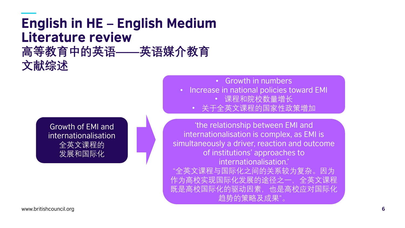• Growth in numbers

- Increase in national policies toward EMI
	- 课程和院校数量增长
	- 关于全英文课程的国家性政策增加

'the relationship between EMI and internationalisation is complex, as EMI is simultaneously a driver, reaction and outcome of institutions' approaches to internationalisation.' "全英文课程与国际化之间的关系较为复杂。因为 作为高校实现国际化发展的途径之一,全英文课程 既是高校国际化的驱动因素,也是高校应对国际化 趋势的策略及成果"。

Growth of EMI and internationalisation 全英文课程的 发展和国际化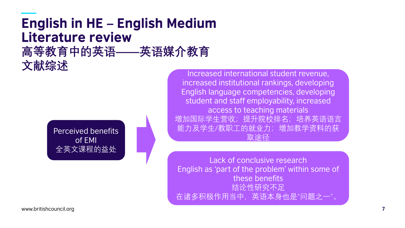Perceived benefits of EMI 全英文课程的益处

Increased international student revenue, increased institutional rankings, developing English language competencies, developing student and staff employability, increased access to teaching materials 增加国际学生营收;提升院校排名;培养英语语言 能力及学生/教职工的就业力;增加教学资料的获 取途径

Lack of conclusive research English as 'part of the problem' within some of these benefits 结论性研究不足 在诸多积极作用当中,英语本身也是"问题之一"。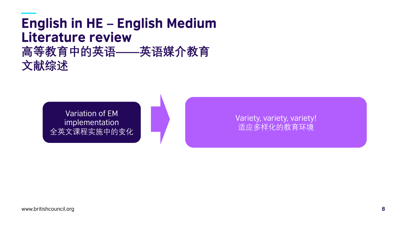Variation of EM implementation 全英文课程实施中的变化

Variety, variety, variety! 适应多样化的教育环境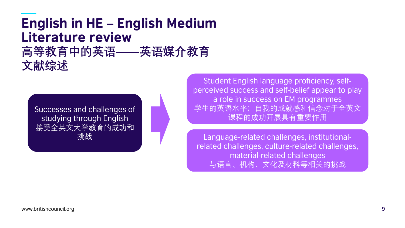Successes and challenges of studying through English 接受全英文大学教育的成功和 挑战

Student English language proficiency, selfperceived success and self-belief appear to play a role in success on EM programmes 学生的英语水平;自我的成就感和信念对于全英文 课程的成功开展具有重要作用

Language-related challenges, institutionalrelated challenges, culture-related challenges, material-related challenges 与语言、机构、文化及材料等相关的挑战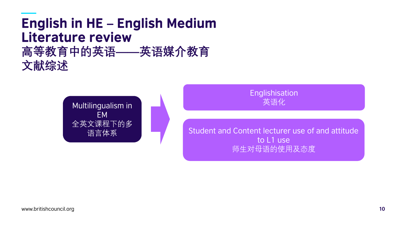

**Englishisation** 英语化

Student and Content lecturer use of and attitude to L1 use 师生对母语的使用及态度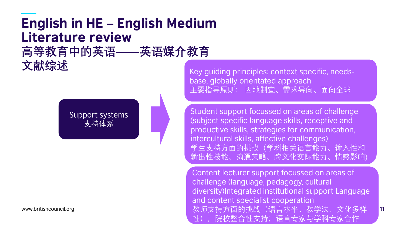Support systems 支持体系

Key guiding principles: context specific, needsbase, globally orientated approach 主要指导原则: 因地制宜、需求导向、面向全球

Student support focussed on areas of challenge (subject specific language skills, receptive and productive skills, strategies for communication, intercultural skills, affective challenges) 学生支持方面的挑战(学科相关语言能力、输入性和 输出性技能、沟通策略、跨文化交际能力、情感影响)

www.britishcouncil.org **11** 教师支持方面的挑战(语言水平、教学法、文化多样 Content lecturer support focussed on areas of challenge (language, pedagogy, cultural diversity)Integrated institutional support Language and content specialist cooperation 性);院校整合性支持;语言专家与学科专家合作